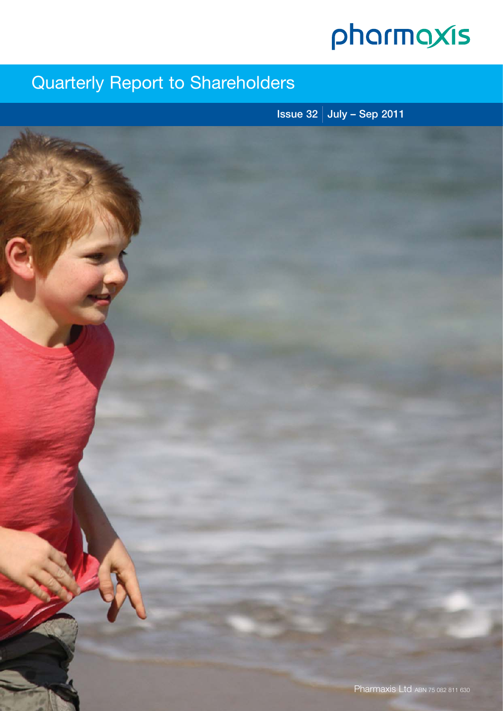# pharmaxis

## Quarterly Report to Shareholders

**Issue 32 July – Sep 2011**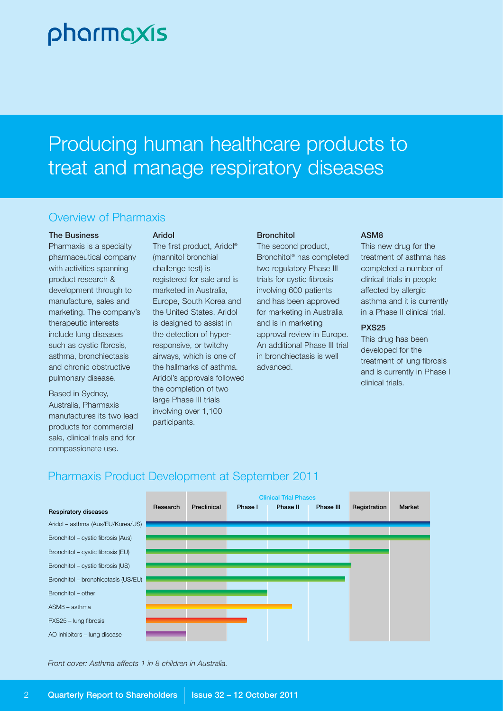# pharmaxis

# Producing human healthcare products to treat and manage respiratory diseases

## Overview of Pharmaxis

#### **The Business**

Pharmaxis is a specialty pharmaceutical company with activities spanning product research & development through to manufacture, sales and marketing. The company's therapeutic interests include lung diseases such as cystic fibrosis, asthma, bronchiectasis and chronic obstructive pulmonary disease.

Based in Sydney, Australia, Pharmaxis manufactures its two lead products for commercial sale, clinical trials and for compassionate use.

#### **Aridol**

The first product, Aridol® (mannitol bronchial challenge test) is registered for sale and is marketed in Australia, Europe, South Korea and the United States. Aridol is designed to assist in the detection of hyperresponsive, or twitchy airways, which is one of the hallmarks of asthma. Aridol's approvals followed the completion of two large Phase III trials involving over 1,100 participants.

#### **Bronchitol**

The second product, Bronchitol® has completed two regulatory Phase III trials for cystic fibrosis involving 600 patients and has been approved for marketing in Australia and is in marketing approval review in Europe. An additional Phase III trial in bronchiectasis is well advanced.

#### **ASM8**

This new drug for the treatment of asthma has completed a number of clinical trials in people affected by allergic asthma and it is currently in a Phase II clinical trial.

#### **PXS25**

This drug has been developed for the treatment of lung fibrosis and is currently in Phase I clinical trials.

## Pharmaxis Product Development at September 2011



*Front cover: Asthma affects 1 in 8 children in Australia.*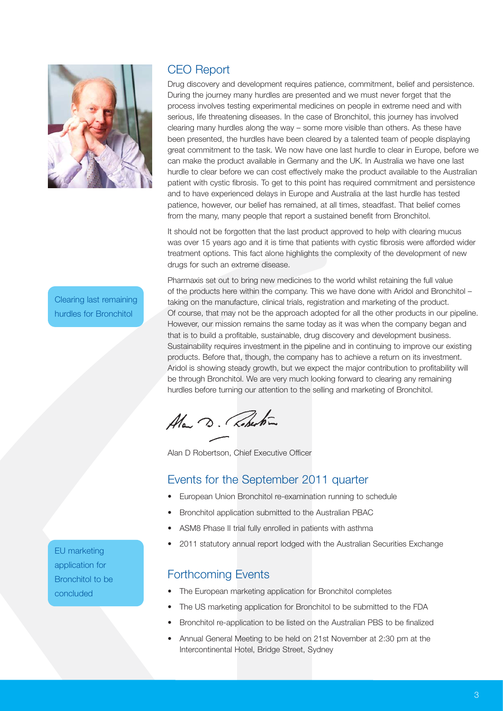

Clearing last remaining hurdles for Bronchitol

## CEO Report

Drug discovery and development requires patience, commitment, belief and persistence. During the journey many hurdles are presented and we must never forget that the process involves testing experimental medicines on people in extreme need and with serious, life threatening diseases. In the case of Bronchitol, this journey has involved clearing many hurdles along the way – some more visible than others. As these have been presented, the hurdles have been cleared by a talented team of people displaying great commitment to the task. We now have one last hurdle to clear in Europe, before we can make the product available in Germany and the UK. In Australia we have one last hurdle to clear before we can cost effectively make the product available to the Australian patient with cystic fibrosis. To get to this point has required commitment and persistence and to have experienced delays in Europe and Australia at the last hurdle has tested patience, however, our belief has remained, at all times, steadfast. That belief comes from the many, many people that report a sustained benefit from Bronchitol.

It should not be forgotten that the last product approved to help with clearing mucus was over 15 years ago and it is time that patients with cystic fibrosis were afforded wider treatment options. This fact alone highlights the complexity of the development of new drugs for such an extreme disease.

Pharmaxis set out to bring new medicines to the world whilst retaining the full value of the products here within the company. This we have done with Aridol and Bronchitol – taking on the manufacture, clinical trials, registration and marketing of the product. Of course, that may not be the approach adopted for all the other products in our pipeline. However, our mission remains the same today as it was when the company began and that is to build a profitable, sustainable, drug discovery and development business. Sustainability requires investment in the pipeline and in continuing to improve our existing products. Before that, though, the company has to achieve a return on its investment. Aridol is showing steady growth, but we expect the major contribution to profitability will be through Bronchitol. We are very much looking forward to clearing any remaining hurdles before turning our attention to the selling and marketing of Bronchitol.

Ala D. Roberton

Alan D Robertson, Chief Executive Officer

## Events for the September 2011 quarter

- European Union Bronchitol re-examination running to schedule
- Bronchitol application submitted to the Australian PBAC
- ASM8 Phase II trial fully enrolled in patients with asthma
- 2011 statutory annual report lodged with the Australian Securities Exchange

### Forthcoming Events

- The European marketing application for Bronchitol completes
- The US marketing application for Bronchitol to be submitted to the FDA
- Bronchitol re-application to be listed on the Australian PBS to be finalized
- Annual General Meeting to be held on 21st November at 2:30 pm at the Intercontinental Hotel, Bridge Street, Sydney

EU marketing application for Bronchitol to be concluded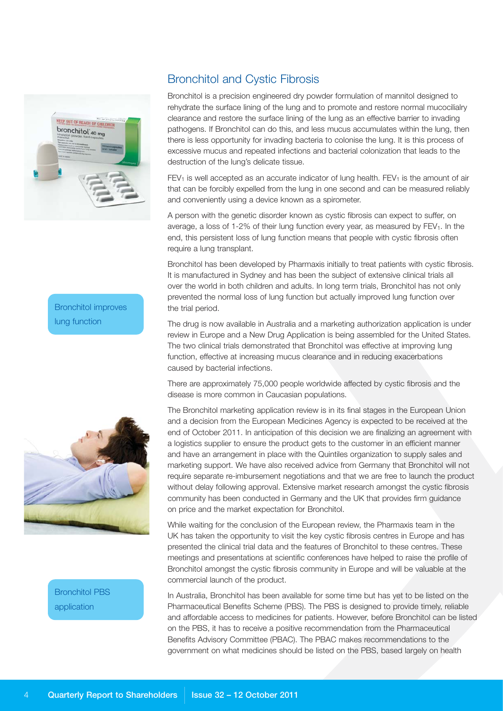

Bronchitol improves lung function



Bronchitol PBS application

## Bronchitol and Cystic Fibrosis

Bronchitol is a precision engineered dry powder formulation of mannitol designed to rehydrate the surface lining of the lung and to promote and restore normal mucocilialry clearance and restore the surface lining of the lung as an effective barrier to invading pathogens. If Bronchitol can do this, and less mucus accumulates within the lung, then there is less opportunity for invading bacteria to colonise the lung. It is this process of excessive mucus and repeated infections and bacterial colonization that leads to the destruction of the lung's delicate tissue.

 $FEV<sub>1</sub>$  is well accepted as an accurate indicator of lung health.  $FEV<sub>1</sub>$  is the amount of air that can be forcibly expelled from the lung in one second and can be measured reliably and conveniently using a device known as a spirometer.

A person with the genetic disorder known as cystic fibrosis can expect to suffer, on average, a loss of  $1-2\%$  of their lung function every year, as measured by  $FEV<sub>1</sub>$ . In the end, this persistent loss of lung function means that people with cystic fibrosis often require a lung transplant.

Bronchitol has been developed by Pharmaxis initially to treat patients with cystic fibrosis. It is manufactured in Sydney and has been the subject of extensive clinical trials all over the world in both children and adults. In long term trials, Bronchitol has not only prevented the normal loss of lung function but actually improved lung function over the trial period.

The drug is now available in Australia and a marketing authorization application is under review in Europe and a New Drug Application is being assembled for the United States. The two clinical trials demonstrated that Bronchitol was effective at improving lung function, effective at increasing mucus clearance and in reducing exacerbations caused by bacterial infections.

There are approximately 75,000 people worldwide affected by cystic fibrosis and the disease is more common in Caucasian populations.

The Bronchitol marketing application review is in its final stages in the European Union and a decision from the European Medicines Agency is expected to be received at the end of October 2011. In anticipation of this decision we are finalizing an agreement with a logistics supplier to ensure the product gets to the customer in an efficient manner and have an arrangement in place with the Quintiles organization to supply sales and marketing support. We have also received advice from Germany that Bronchitol will not require separate re-imbursement negotiations and that we are free to launch the product without delay following approval. Extensive market research amongst the cystic fibrosis community has been conducted in Germany and the UK that provides firm guidance on price and the market expectation for Bronchitol.

While waiting for the conclusion of the European review, the Pharmaxis team in the UK has taken the opportunity to visit the key cystic fibrosis centres in Europe and has presented the clinical trial data and the features of Bronchitol to these centres. These meetings and presentations at scientific conferences have helped to raise the profile of Bronchitol amongst the cystic fibrosis community in Europe and will be valuable at the commercial launch of the product.

In Australia, Bronchitol has been available for some time but has yet to be listed on the Pharmaceutical Benefits Scheme (PBS). The PBS is designed to provide timely, reliable and affordable access to medicines for patients. However, before Bronchitol can be listed on the PBS, it has to receive a positive recommendation from the Pharmaceutical Benefits Advisory Committee (PBAC). The PBAC makes recommendations to the government on what medicines should be listed on the PBS, based largely on health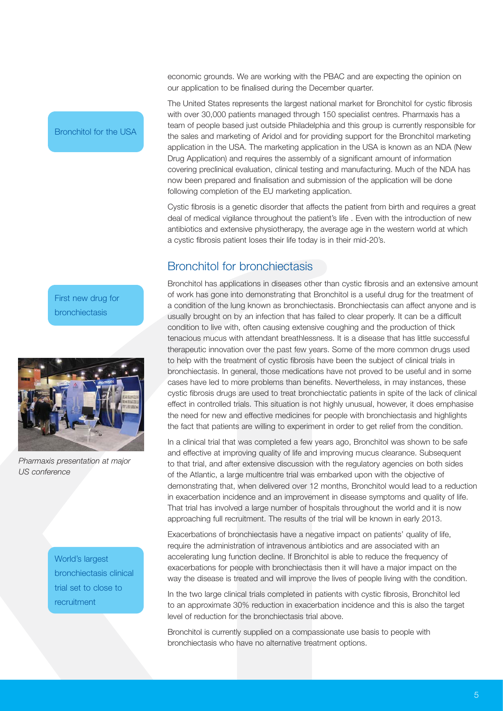economic grounds. We are working with the PBAC and are expecting the opinion on our application to be finalised during the December quarter.

The United States represents the largest national market for Bronchitol for cystic fibrosis with over 30,000 patients managed through 150 specialist centres. Pharmaxis has a team of people based just outside Philadelphia and this group is currently responsible for the sales and marketing of Aridol and for providing support for the Bronchitol marketing application in the USA. The marketing application in the USA is known as an NDA (New Drug Application) and requires the assembly of a significant amount of information covering preclinical evaluation, clinical testing and manufacturing. Much of the NDA has now been prepared and finalisation and submission of the application will be done following completion of the EU marketing application.

Cystic fibrosis is a genetic disorder that affects the patient from birth and requires a great deal of medical vigilance throughout the patient's life . Even with the introduction of new antibiotics and extensive physiotherapy, the average age in the western world at which a cystic fibrosis patient loses their life today is in their mid-20's.

## Bronchitol for bronchiectasis

Bronchitol has applications in diseases other than cystic fibrosis and an extensive amount of work has gone into demonstrating that Bronchitol is a useful drug for the treatment of a condition of the lung known as bronchiectasis. Bronchiectasis can affect anyone and is usually brought on by an infection that has failed to clear properly. It can be a difficult condition to live with, often causing extensive coughing and the production of thick tenacious mucus with attendant breathlessness. It is a disease that has little successful therapeutic innovation over the past few years. Some of the more common drugs used to help with the treatment of cystic fibrosis have been the subject of clinical trials in bronchiectasis. In general, those medications have not proved to be useful and in some cases have led to more problems than benefits. Nevertheless, in may instances, these cystic fibrosis drugs are used to treat bronchiectatic patients in spite of the lack of clinical effect in controlled trials. This situation is not highly unusual, however, it does emphasise the need for new and effective medicines for people with bronchiectasis and highlights the fact that patients are willing to experiment in order to get relief from the condition.

In a clinical trial that was completed a few years ago, Bronchitol was shown to be safe and effective at improving quality of life and improving mucus clearance. Subsequent to that trial, and after extensive discussion with the regulatory agencies on both sides of the Atlantic, a large multicentre trial was embarked upon with the objective of demonstrating that, when delivered over 12 months, Bronchitol would lead to a reduction in exacerbation incidence and an improvement in disease symptoms and quality of life. That trial has involved a large number of hospitals throughout the world and it is now approaching full recruitment. The results of the trial will be known in early 2013.

Exacerbations of bronchiectasis have a negative impact on patients' quality of life, require the administration of intravenous antibiotics and are associated with an accelerating lung function decline. If Bronchitol is able to reduce the frequency of exacerbations for people with bronchiectasis then it will have a major impact on the way the disease is treated and will improve the lives of people living with the condition.

In the two large clinical trials completed in patients with cystic fibrosis, Bronchitol led to an approximate 30% reduction in exacerbation incidence and this is also the target level of reduction for the bronchiectasis trial above.

Bronchitol is currently supplied on a compassionate use basis to people with bronchiectasis who have no alternative treatment options.

Bronchitol for the USA

First new drug for bronchiectasis



*Pharmaxis presentation at major US conference*

World's largest bronchiectasis clinical trial set to close to recruitment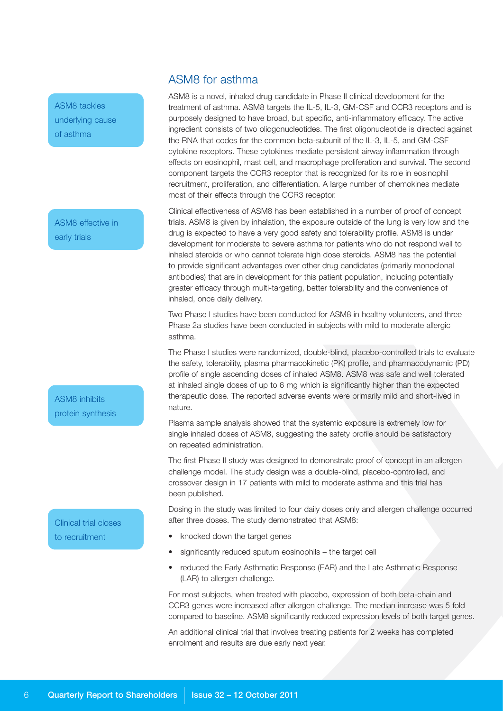ASM8 tackles underlying cause of asthma

ASM8 effective in early trials

ASM8 inhibits protein synthesis

Clinical trial closes to recruitment

## ASM8 for asthma

ASM8 is a novel, inhaled drug candidate in Phase II clinical development for the treatment of asthma. ASM8 targets the IL-5, IL-3, GM-CSF and CCR3 receptors and is purposely designed to have broad, but specific, anti-inflammatory efficacy. The active ingredient consists of two oliogonucleotides. The first oligonucleotide is directed against the RNA that codes for the common beta-subunit of the IL-3, IL-5, and GM-CSF cytokine receptors. These cytokines mediate persistent airway inflammation through effects on eosinophil, mast cell, and macrophage proliferation and survival. The second component targets the CCR3 receptor that is recognized for its role in eosinophil recruitment, proliferation, and differentiation. A large number of chemokines mediate most of their effects through the CCR3 receptor.

Clinical effectiveness of ASM8 has been established in a number of proof of concept trials. ASM8 is given by inhalation, the exposure outside of the lung is very low and the drug is expected to have a very good safety and tolerability profile. ASM8 is under development for moderate to severe asthma for patients who do not respond well to inhaled steroids or who cannot tolerate high dose steroids. ASM8 has the potential to provide significant advantages over other drug candidates (primarily monoclonal antibodies) that are in development for this patient population, including potentially greater efficacy through multi-targeting, better tolerability and the convenience of inhaled, once daily delivery.

Two Phase I studies have been conducted for ASM8 in healthy volunteers, and three Phase 2a studies have been conducted in subjects with mild to moderate allergic asthma.

The Phase I studies were randomized, double-blind, placebo-controlled trials to evaluate the safety, tolerability, plasma pharmacokinetic (PK) profile, and pharmacodynamic (PD) profile of single ascending doses of inhaled ASM8. ASM8 was safe and well tolerated at inhaled single doses of up to 6 mg which is significantly higher than the expected therapeutic dose. The reported adverse events were primarily mild and short-lived in nature.

Plasma sample analysis showed that the systemic exposure is extremely low for single inhaled doses of ASM8, suggesting the safety profile should be satisfactory on repeated administration.

The first Phase II study was designed to demonstrate proof of concept in an allergen challenge model. The study design was a double-blind, placebo-controlled, and crossover design in 17 patients with mild to moderate asthma and this trial has been published.

Dosing in the study was limited to four daily doses only and allergen challenge occurred after three doses. The study demonstrated that ASM8:

- knocked down the target genes
- significantly reduced sputum eosinophils the target cell
- reduced the Early Asthmatic Response (EAR) and the Late Asthmatic Response (LAR) to allergen challenge.

For most subjects, when treated with placebo, expression of both beta-chain and CCR3 genes were increased after allergen challenge. The median increase was 5 fold compared to baseline. ASM8 significantly reduced expression levels of both target genes.

An additional clinical trial that involves treating patients for 2 weeks has completed enrolment and results are due early next year.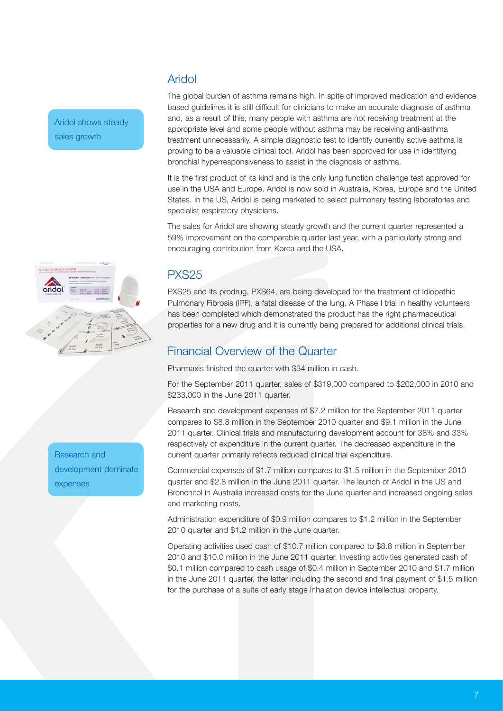Aridol shows steady sales growth

## Aridol

The global burden of asthma remains high. In spite of improved medication and evidence based guidelines it is still difficult for clinicians to make an accurate diagnosis of asthma and, as a result of this, many people with asthma are not receiving treatment at the appropriate level and some people without asthma may be receiving anti-asthma treatment unnecessarily. A simple diagnostic test to identify currently active asthma is proving to be a valuable clinical tool. Aridol has been approved for use in identifying bronchial hyperresponsiveness to assist in the diagnosis of asthma.

It is the first product of its kind and is the only lung function challenge test approved for use in the USA and Europe. Aridol is now sold in Australia, Korea, Europe and the United States. In the US, Aridol is being marketed to select pulmonary testing laboratories and specialist respiratory physicians.

The sales for Aridol are showing steady growth and the current quarter represented a 59% improvement on the comparable quarter last year, with a particularly strong and encouraging contribution from Korea and the USA.

## PXS25

PXS25 and its prodrug, PXS64, are being developed for the treatment of Idiopathic Pulmonary Fibrosis (IPF), a fatal disease of the lung. A Phase I trial in healthy volunteers has been completed which demonstrated the product has the right pharmaceutical properties for a new drug and it is currently being prepared for additional clinical trials.

## Financial Overview of the Quarter

Pharmaxis finished the quarter with \$34 million in cash.

For the September 2011 quarter, sales of \$319,000 compared to \$202,000 in 2010 and \$233,000 in the June 2011 quarter.

Research and development expenses of \$7.2 million for the September 2011 quarter compares to \$8.8 million in the September 2010 quarter and \$9.1 million in the June 2011 quarter. Clinical trials and manufacturing development account for 38% and 33% respectively of expenditure in the current quarter. The decreased expenditure in the current quarter primarily reflects reduced clinical trial expenditure.

Commercial expenses of \$1.7 million compares to \$1.5 million in the September 2010 quarter and \$2.8 million in the June 2011 quarter. The launch of Aridol in the US and Bronchitol in Australia increased costs for the June quarter and increased ongoing sales and marketing costs.

Administration expenditure of \$0.9 million compares to \$1.2 million in the September 2010 quarter and \$1.2 million in the June quarter.

Operating activities used cash of \$10.7 million compared to \$8.8 million in September 2010 and \$10.0 million in the June 2011 quarter. Investing activities generated cash of \$0.1 million compared to cash usage of \$0.4 million in September 2010 and \$1.7 million in the June 2011 quarter, the latter including the second and final payment of \$1.5 million for the purchase of a suite of early stage inhalation device intellectual property.



Research and development dominate expenses